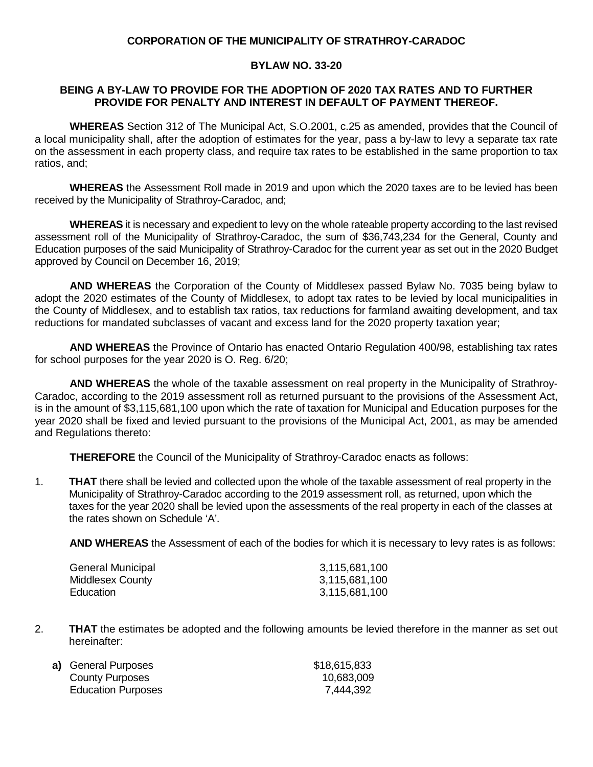### **CORPORATION OF THE MUNICIPALITY OF STRATHROY-CARADOC**

### **BYLAW NO. 33-20**

### **BEING A BY-LAW TO PROVIDE FOR THE ADOPTION OF 2020 TAX RATES AND TO FURTHER PROVIDE FOR PENALTY AND INTEREST IN DEFAULT OF PAYMENT THEREOF.**

**WHEREAS** Section 312 of The Municipal Act, S.O.2001, c.25 as amended, provides that the Council of a local municipality shall, after the adoption of estimates for the year, pass a by-law to levy a separate tax rate on the assessment in each property class, and require tax rates to be established in the same proportion to tax ratios, and;

**WHEREAS** the Assessment Roll made in 2019 and upon which the 2020 taxes are to be levied has been received by the Municipality of Strathroy-Caradoc, and;

**WHEREAS** it is necessary and expedient to levy on the whole rateable property according to the last revised assessment roll of the Municipality of Strathroy-Caradoc, the sum of \$36,743,234 for the General, County and Education purposes of the said Municipality of Strathroy-Caradoc for the current year as set out in the 2020 Budget approved by Council on December 16, 2019;

**AND WHEREAS** the Corporation of the County of Middlesex passed Bylaw No. 7035 being bylaw to adopt the 2020 estimates of the County of Middlesex, to adopt tax rates to be levied by local municipalities in the County of Middlesex, and to establish tax ratios, tax reductions for farmland awaiting development, and tax reductions for mandated subclasses of vacant and excess land for the 2020 property taxation year;

**AND WHEREAS** the Province of Ontario has enacted Ontario Regulation 400/98, establishing tax rates for school purposes for the year 2020 is O. Reg. 6/20;

**AND WHEREAS** the whole of the taxable assessment on real property in the Municipality of Strathroy-Caradoc, according to the 2019 assessment roll as returned pursuant to the provisions of the Assessment Act, is in the amount of \$3,115,681,100 upon which the rate of taxation for Municipal and Education purposes for the year 2020 shall be fixed and levied pursuant to the provisions of the Municipal Act, 2001, as may be amended and Regulations thereto:

**THEREFORE** the Council of the Municipality of Strathroy-Caradoc enacts as follows:

1. **THAT** there shall be levied and collected upon the whole of the taxable assessment of real property in the Municipality of Strathroy-Caradoc according to the 2019 assessment roll, as returned, upon which the taxes for the year 2020 shall be levied upon the assessments of the real property in each of the classes at the rates shown on Schedule 'A'.

**AND WHEREAS** the Assessment of each of the bodies for which it is necessary to levy rates is as follows:

| General Municipal | 3,115,681,100 |
|-------------------|---------------|
| Middlesex County  | 3,115,681,100 |
| Education         | 3,115,681,100 |

2. **THAT** the estimates be adopted and the following amounts be levied therefore in the manner as set out hereinafter:

| a) General Purposes       | \$18,615,833 |
|---------------------------|--------------|
| <b>County Purposes</b>    | 10,683,009   |
| <b>Education Purposes</b> | 7,444,392    |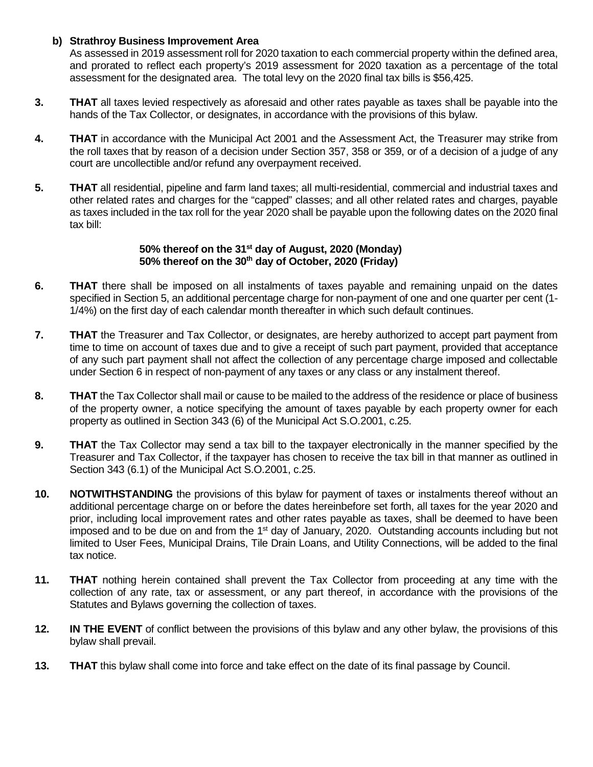# **b) Strathroy Business Improvement Area**

As assessed in 2019 assessment roll for 2020 taxation to each commercial property within the defined area, and prorated to reflect each property's 2019 assessment for 2020 taxation as a percentage of the total assessment for the designated area. The total levy on the 2020 final tax bills is \$56,425.

- **3. THAT** all taxes levied respectively as aforesaid and other rates payable as taxes shall be payable into the hands of the Tax Collector, or designates, in accordance with the provisions of this bylaw.
- **4. THAT** in accordance with the Municipal Act 2001 and the Assessment Act, the Treasurer may strike from the roll taxes that by reason of a decision under Section 357, 358 or 359, or of a decision of a judge of any court are uncollectible and/or refund any overpayment received.
- **5. THAT** all residential, pipeline and farm land taxes; all multi-residential, commercial and industrial taxes and other related rates and charges for the "capped" classes; and all other related rates and charges, payable as taxes included in the tax roll for the year 2020 shall be payable upon the following dates on the 2020 final tax bill:

# **50% thereof on the 31st day of August, 2020 (Monday) 50% thereof on the 30th day of October, 2020 (Friday)**

- **6. THAT** there shall be imposed on all instalments of taxes payable and remaining unpaid on the dates specified in Section 5, an additional percentage charge for non-payment of one and one quarter per cent (1- 1/4%) on the first day of each calendar month thereafter in which such default continues.
- **7. THAT** the Treasurer and Tax Collector, or designates, are hereby authorized to accept part payment from time to time on account of taxes due and to give a receipt of such part payment, provided that acceptance of any such part payment shall not affect the collection of any percentage charge imposed and collectable under Section 6 in respect of non-payment of any taxes or any class or any instalment thereof.
- **8. THAT** the Tax Collector shall mail or cause to be mailed to the address of the residence or place of business of the property owner, a notice specifying the amount of taxes payable by each property owner for each property as outlined in Section 343 (6) of the Municipal Act S.O.2001, c.25.
- **9. THAT** the Tax Collector may send a tax bill to the taxpayer electronically in the manner specified by the Treasurer and Tax Collector, if the taxpayer has chosen to receive the tax bill in that manner as outlined in Section 343 (6.1) of the Municipal Act S.O.2001, c.25.
- **10. NOTWITHSTANDING** the provisions of this bylaw for payment of taxes or instalments thereof without an additional percentage charge on or before the dates hereinbefore set forth, all taxes for the year 2020 and prior, including local improvement rates and other rates payable as taxes, shall be deemed to have been imposed and to be due on and from the 1<sup>st</sup> day of January, 2020. Outstanding accounts including but not limited to User Fees, Municipal Drains, Tile Drain Loans, and Utility Connections, will be added to the final tax notice.
- **11. THAT** nothing herein contained shall prevent the Tax Collector from proceeding at any time with the collection of any rate, tax or assessment, or any part thereof, in accordance with the provisions of the Statutes and Bylaws governing the collection of taxes.
- **12. IN THE EVENT** of conflict between the provisions of this bylaw and any other bylaw, the provisions of this bylaw shall prevail.
- **13. THAT** this bylaw shall come into force and take effect on the date of its final passage by Council.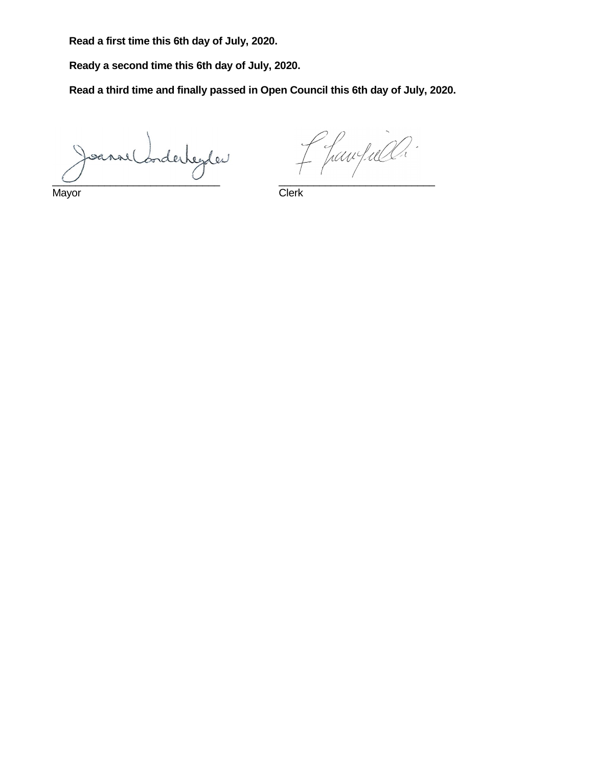**Read a first time this 6th day of July, 2020.** 

**Ready a second time this 6th day of July, 2020.** 

**Read a third time and finally passed in Open Council this 6th day of July, 2020.**

 $\overline{\phantom{a}}$  , and the contract of the contract of the contract of the contract of the contract of the contract of the contract of the contract of the contract of the contract of the contract of the contract of the contrac

Mayor **Clerk** 

f fawfull.